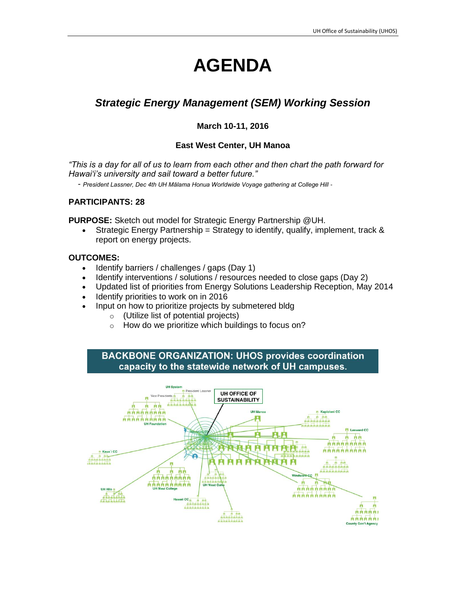# **AGENDA**

# *Strategic Energy Management (SEM) Working Session*

#### **March 10-11, 2016**

#### **East West Center, UH Manoa**

*"This is a day for all of us to learn from each other and then chart the path forward for Hawaiʻi's university and sail toward a better future."*

*- President Lassner, Dec 4th UH Mālama Honua Worldwide Voyage gathering at College Hill -*

#### **PARTICIPANTS: 28**

**PURPOSE:** Sketch out model for Strategic Energy Partnership @UH.

**Strategic Energy Partnership = Strategy to identify, qualify, implement, track &** report on energy projects.

#### **OUTCOMES:**

- Identify barriers / challenges / gaps (Day 1)
- Identify interventions / solutions / resources needed to close gaps (Day 2)
- Updated list of priorities from Energy Solutions Leadership Reception, May 2014
- Identify priorities to work on in 2016
- Input on how to prioritize projects by submetered bldg
	- o (Utilize list of potential projects)
	- $\circ$  How do we prioritize which buildings to focus on?

**BACKBONE ORGANIZATION: UHOS provides coordination** capacity to the statewide network of UH campuses.

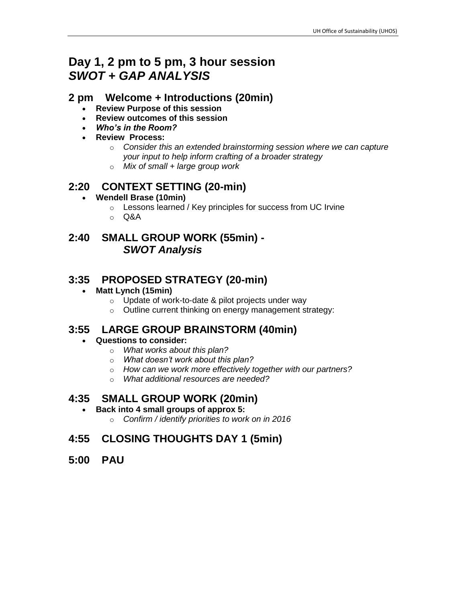# **Day 1, 2 pm to 5 pm, 3 hour session** *SWOT + GAP ANALYSIS*

#### **2 pm Welcome + Introductions (20min)**

- **Review Purpose of this session**
- **Review outcomes of this session**
- *Who's in the Room?*
- **Review Process:** 
	- o *Consider this an extended brainstorming session where we can capture your input to help inform crafting of a broader strategy*
	- o *Mix of small + large group work*

## **2:20 CONTEXT SETTING (20-min)**

- **Wendell Brase (10min)**
	- o Lessons learned / Key principles for success from UC Irvine
	- o Q&A

## **2:40 SMALL GROUP WORK (55min) -** *SWOT Analysis*

## **3:35 PROPOSED STRATEGY (20-min)**

#### **Matt Lynch (15min)**

- o Update of work-to-date & pilot projects under way
- o Outline current thinking on energy management strategy:

#### **3:55 LARGE GROUP BRAINSTORM (40min)**

#### **Questions to consider:**

- o *What works about this plan?*
- o *What doesn't work about this plan?*
- o *How can we work more effectively together with our partners?*
- o *What additional resources are needed?*

#### **4:35 SMALL GROUP WORK (20min)**

- **Back into 4 small groups of approx 5:**
	- o *Confirm / identify priorities to work on in 2016*

# **4:55 CLOSING THOUGHTS DAY 1 (5min)**

**5:00 PAU**